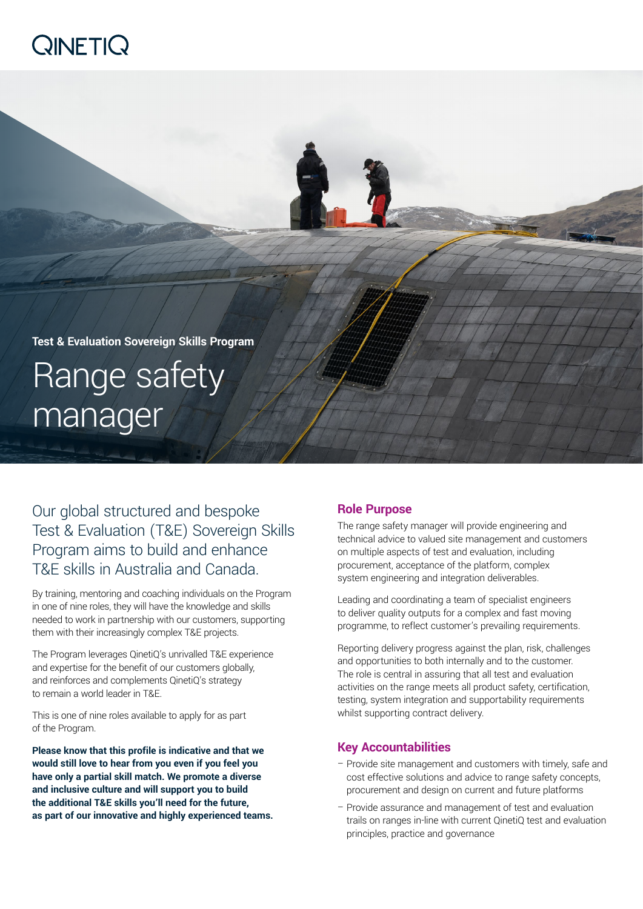# **QINETIQ**



Our global structured and bespoke Test & Evaluation (T&E) Sovereign Skills Program aims to build and enhance T&E skills in Australia and Canada.

By training, mentoring and coaching individuals on the Program in one of nine roles, they will have the knowledge and skills needed to work in partnership with our customers, supporting them with their increasingly complex T&E projects.

The Program leverages QinetiQ's unrivalled T&E experience and expertise for the benefit of our customers globally, and reinforces and complements QinetiQ's strategy to remain a world leader in T&E.

This is one of nine roles available to apply for as part of the Program.

**Please know that this profile is indicative and that we would still love to hear from you even if you feel you have only a partial skill match. We promote a diverse and inclusive culture and will support you to build the additional T&E skills you'll need for the future, as part of our innovative and highly experienced teams.**

## **Role Purpose**

The range safety manager will provide engineering and technical advice to valued site management and customers on multiple aspects of test and evaluation, including procurement, acceptance of the platform, complex system engineering and integration deliverables.

Leading and coordinating a team of specialist engineers to deliver quality outputs for a complex and fast moving programme, to reflect customer's prevailing requirements.

Reporting delivery progress against the plan, risk, challenges and opportunities to both internally and to the customer. The role is central in assuring that all test and evaluation activities on the range meets all product safety, certification, testing, system integration and supportability requirements whilst supporting contract delivery.

## **Key Accountabilities**

- Provide site management and customers with timely, safe and cost effective solutions and advice to range safety concepts, procurement and design on current and future platforms
- Provide assurance and management of test and evaluation trails on ranges in-line with current QinetiQ test and evaluation principles, practice and governance